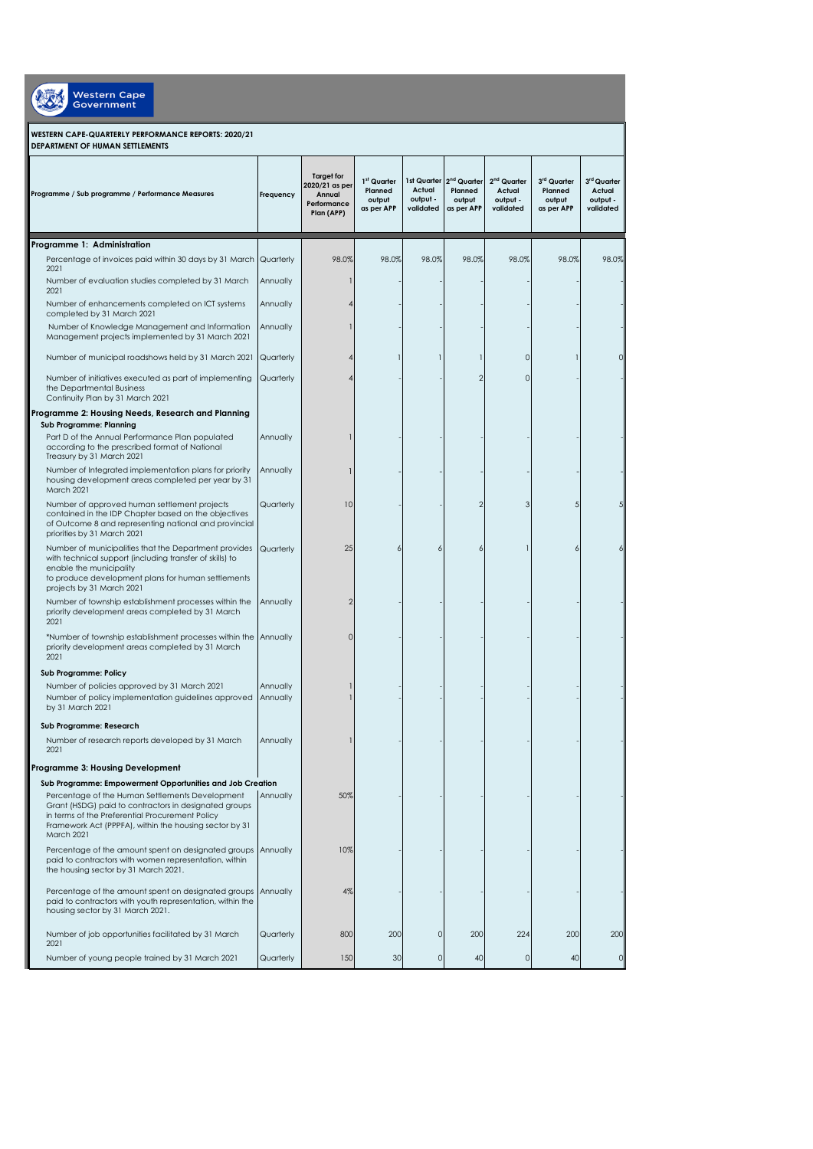Western Cape

## **WESTERN CAPE-QUARTERLY PERFORMANCE REPORTS: 2020/21 DEPARTMENT OF HUMAN SETTLEMENTS**

| Programme / Sub programme / Performance Measures                                                                                                                                                                                    | Frequency            | <b>Target for</b><br>2020/21 as per<br>Annual<br>Performance<br>Plan (APP) | 1 <sup>st</sup> Quarter<br>Planned<br>output<br>as per APP | Actual<br>output -<br>validated | 1st Quarter 2 <sup>nd</sup> Quarter<br>Planned<br>output<br>as per APP | 2 <sup>nd</sup> Quarter<br>Actual<br>output -<br>validated | 3rd Quarter<br>Planned<br>output<br>as per APP | 3rd Quarter<br>Actual<br>output -<br>validated |
|-------------------------------------------------------------------------------------------------------------------------------------------------------------------------------------------------------------------------------------|----------------------|----------------------------------------------------------------------------|------------------------------------------------------------|---------------------------------|------------------------------------------------------------------------|------------------------------------------------------------|------------------------------------------------|------------------------------------------------|
| Programme 1: Administration                                                                                                                                                                                                         |                      |                                                                            |                                                            |                                 |                                                                        |                                                            |                                                |                                                |
| Percentage of invoices paid within 30 days by 31 March Quarterly<br>2021                                                                                                                                                            |                      | 98.0%                                                                      | 98.0%                                                      | 98.0%                           | 98.0%                                                                  | 98.0%                                                      | 98.0%                                          | 98.0%                                          |
| Number of evaluation studies completed by 31 March<br>2021                                                                                                                                                                          | Annually             | 1                                                                          |                                                            |                                 |                                                                        |                                                            |                                                |                                                |
| Number of enhancements completed on ICT systems<br>completed by 31 March 2021                                                                                                                                                       | Annually             |                                                                            |                                                            |                                 |                                                                        |                                                            |                                                |                                                |
| Number of Knowledge Management and Information<br>Management projects implemented by 31 March 2021                                                                                                                                  | Annually             |                                                                            |                                                            |                                 |                                                                        |                                                            |                                                |                                                |
| Number of municipal roadshows held by 31 March 2021                                                                                                                                                                                 | Quarterly            |                                                                            |                                                            |                                 |                                                                        | $\Omega$                                                   |                                                |                                                |
| Number of initiatives executed as part of implementing<br>the Departmental Business<br>Continuity Plan by 31 March 2021                                                                                                             | Quarterly            |                                                                            |                                                            |                                 | $\overline{2}$                                                         | $\mathbf 0$                                                |                                                |                                                |
| Programme 2: Housing Needs, Research and Planning                                                                                                                                                                                   |                      |                                                                            |                                                            |                                 |                                                                        |                                                            |                                                |                                                |
| Sub Programme: Planning<br>Part D of the Annual Performance Plan populated<br>according to the prescribed format of National<br>Treasury by 31 March 2021                                                                           | Annually             |                                                                            |                                                            |                                 |                                                                        |                                                            |                                                |                                                |
| Number of Integrated implementation plans for priority<br>housing development areas completed per year by 31<br>March 2021                                                                                                          | Annually             | ı                                                                          |                                                            |                                 |                                                                        |                                                            |                                                |                                                |
| Number of approved human settlement projects<br>contained in the IDP Chapter based on the objectives<br>of Outcome 8 and representing national and provincial<br>priorities by 31 March 2021                                        | Quarterly            | 10                                                                         |                                                            |                                 | $\overline{2}$                                                         | 3                                                          | 5                                              |                                                |
| Number of municipalities that the Department provides<br>with technical support (including transfer of skills) to<br>enable the municipality<br>to produce development plans for human settlements<br>projects by 31 March 2021     | Quarterly            | 25                                                                         | 6                                                          | 6                               | 6                                                                      |                                                            | 6                                              |                                                |
| Number of township establishment processes within the<br>priority development areas completed by 31 March<br>2021                                                                                                                   | Annually             | $\overline{2}$                                                             |                                                            |                                 |                                                                        |                                                            |                                                |                                                |
| *Number of township establishment processes within the Annually<br>priority development areas completed by 31 March<br>2021                                                                                                         |                      | 0                                                                          |                                                            |                                 |                                                                        |                                                            |                                                |                                                |
| Sub Programme: Policy                                                                                                                                                                                                               |                      |                                                                            |                                                            |                                 |                                                                        |                                                            |                                                |                                                |
| Number of policies approved by 31 March 2021<br>Number of policy implementation guidelines approved<br>by 31 March 2021                                                                                                             | Annually<br>Annually |                                                                            |                                                            |                                 |                                                                        |                                                            |                                                |                                                |
| Sub Programme: Research                                                                                                                                                                                                             |                      |                                                                            |                                                            |                                 |                                                                        |                                                            |                                                |                                                |
| Number of research reports developed by 31 March<br>2021                                                                                                                                                                            | Annually             |                                                                            |                                                            |                                 |                                                                        |                                                            |                                                |                                                |
| Programme 3: Housing Development                                                                                                                                                                                                    |                      |                                                                            |                                                            |                                 |                                                                        |                                                            |                                                |                                                |
| Sub Programme: Empowerment Opportunities and Job Creation                                                                                                                                                                           |                      |                                                                            |                                                            |                                 |                                                                        |                                                            |                                                |                                                |
| Percentage of the Human Settlements Development<br>Grant (HSDG) paid to contractors in designated groups<br>in terms of the Preferential Procurement Policy<br>Framework Act (PPPFA), within the housing sector by 31<br>March 2021 | Annually             | 50%                                                                        |                                                            |                                 |                                                                        |                                                            |                                                |                                                |
| Percentage of the amount spent on designated groups<br>paid to contractors with women representation, within<br>the housing sector by 31 March 2021.                                                                                | Annually             | 10%                                                                        |                                                            |                                 |                                                                        |                                                            |                                                |                                                |
| Percentage of the amount spent on designated groups Annually<br>paid to contractors with youth representation, within the<br>housing sector by 31 March 2021.                                                                       |                      | 4%                                                                         |                                                            |                                 |                                                                        |                                                            |                                                |                                                |
| Number of job opportunities facilitated by 31 March<br>2021                                                                                                                                                                         | Quarterly            | 800                                                                        | 200                                                        | $\circ$                         | 200                                                                    | 224                                                        | 200                                            | 200                                            |
| Number of young people trained by 31 March 2021                                                                                                                                                                                     | Quarterly            | 150                                                                        | 30                                                         | $\circ$                         | 40                                                                     | 0                                                          | 40                                             | 0                                              |